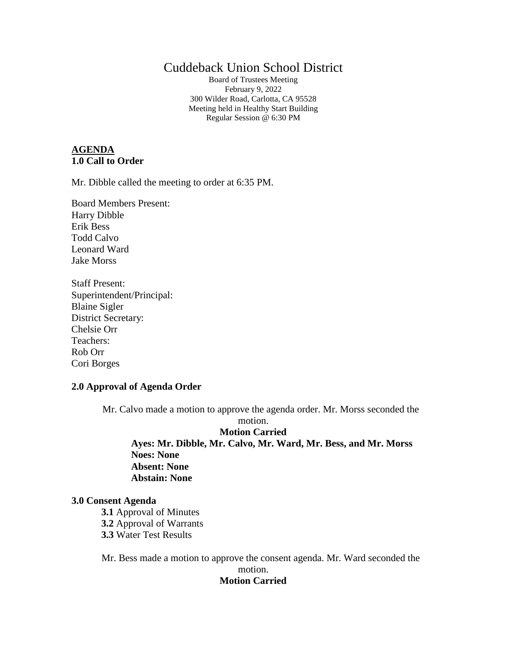# Cuddeback Union School District

Board of Trustees Meeting February 9, 2022 300 Wilder Road, Carlotta, CA 95528 Meeting held in Healthy Start Building Regular Session @ 6:30 PM

### **AGENDA 1.0 Call to Order**

Mr. Dibble called the meeting to order at 6:35 PM.

Board Members Present: Harry Dibble Erik Bess Todd Calvo Leonard Ward Jake Morss

Staff Present: Superintendent/Principal: Blaine Sigler District Secretary: Chelsie Orr Teachers: Rob Orr Cori Borges

## **2.0 Approval of Agenda Order**

Mr. Calvo made a motion to approve the agenda order. Mr. Morss seconded the

motion.

**Motion Carried Ayes: Mr. Dibble, Mr. Calvo, Mr. Ward, Mr. Bess, and Mr. Morss Noes: None Absent: None Abstain: None**

#### **3.0 Consent Agenda**

**3.1** Approval of Minutes

**3.2** Approval of Warrants

**3.3** Water Test Results

Mr. Bess made a motion to approve the consent agenda. Mr. Ward seconded the

# motion.

# **Motion Carried**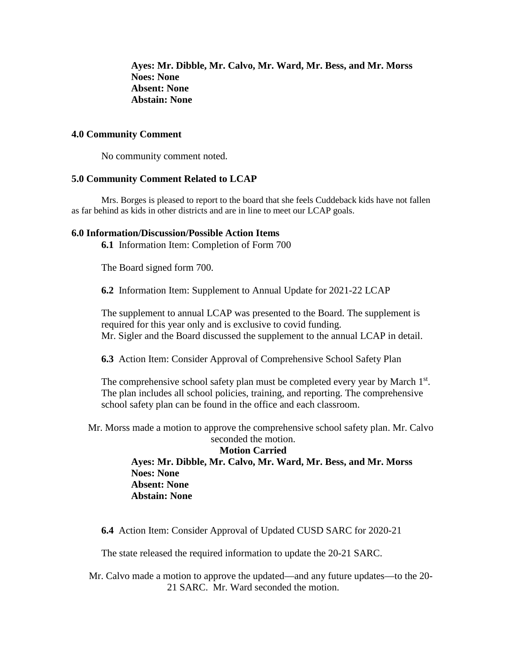**Ayes: Mr. Dibble, Mr. Calvo, Mr. Ward, Mr. Bess, and Mr. Morss Noes: None Absent: None Abstain: None**

## **4.0 Community Comment**

No community comment noted.

#### **5.0 Community Comment Related to LCAP**

Mrs. Borges is pleased to report to the board that she feels Cuddeback kids have not fallen as far behind as kids in other districts and are in line to meet our LCAP goals.

#### **6.0 Information/Discussion/Possible Action Items**

**6.1** Information Item: Completion of Form 700

The Board signed form 700.

**6.2** Information Item: Supplement to Annual Update for 2021-22 LCAP

The supplement to annual LCAP was presented to the Board. The supplement is required for this year only and is exclusive to covid funding. Mr. Sigler and the Board discussed the supplement to the annual LCAP in detail.

**6.3** Action Item: Consider Approval of Comprehensive School Safety Plan

The comprehensive school safety plan must be completed every year by March 1<sup>st</sup>. The plan includes all school policies, training, and reporting. The comprehensive school safety plan can be found in the office and each classroom.

Mr. Morss made a motion to approve the comprehensive school safety plan. Mr. Calvo seconded the motion.

**Motion Carried Ayes: Mr. Dibble, Mr. Calvo, Mr. Ward, Mr. Bess, and Mr. Morss Noes: None Absent: None Abstain: None**

**6.4** Action Item: Consider Approval of Updated CUSD SARC for 2020-21

The state released the required information to update the 20-21 SARC.

Mr. Calvo made a motion to approve the updated—and any future updates—to the 20- 21 SARC. Mr. Ward seconded the motion.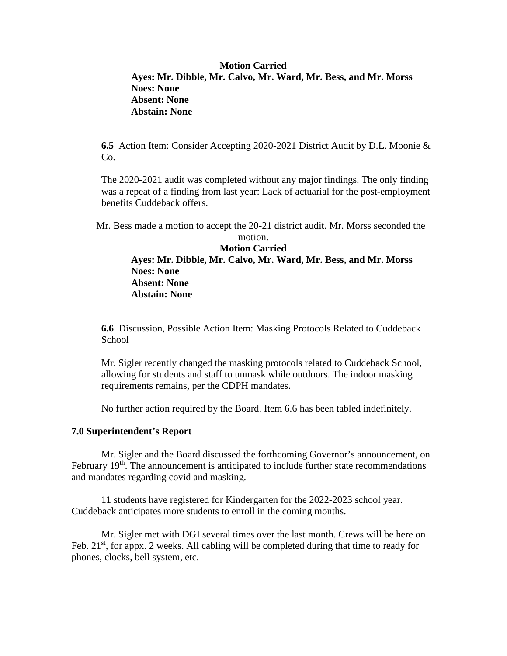# **Motion Carried Ayes: Mr. Dibble, Mr. Calvo, Mr. Ward, Mr. Bess, and Mr. Morss Noes: None Absent: None Abstain: None**

**6.5** Action Item: Consider Accepting 2020-2021 District Audit by D.L. Moonie & Co.

The 2020-2021 audit was completed without any major findings. The only finding was a repeat of a finding from last year: Lack of actuarial for the post-employment benefits Cuddeback offers.

Mr. Bess made a motion to accept the 20-21 district audit. Mr. Morss seconded the

motion. **Motion Carried Ayes: Mr. Dibble, Mr. Calvo, Mr. Ward, Mr. Bess, and Mr. Morss Noes: None Absent: None Abstain: None**

**6.6** Discussion, Possible Action Item: Masking Protocols Related to Cuddeback School

Mr. Sigler recently changed the masking protocols related to Cuddeback School, allowing for students and staff to unmask while outdoors. The indoor masking requirements remains, per the CDPH mandates.

No further action required by the Board. Item 6.6 has been tabled indefinitely.

#### **7.0 Superintendent's Report**

Mr. Sigler and the Board discussed the forthcoming Governor's announcement, on February 19<sup>th</sup>. The announcement is anticipated to include further state recommendations and mandates regarding covid and masking.

11 students have registered for Kindergarten for the 2022-2023 school year. Cuddeback anticipates more students to enroll in the coming months.

Mr. Sigler met with DGI several times over the last month. Crews will be here on Feb. 21<sup>st</sup>, for appx. 2 weeks. All cabling will be completed during that time to ready for phones, clocks, bell system, etc.